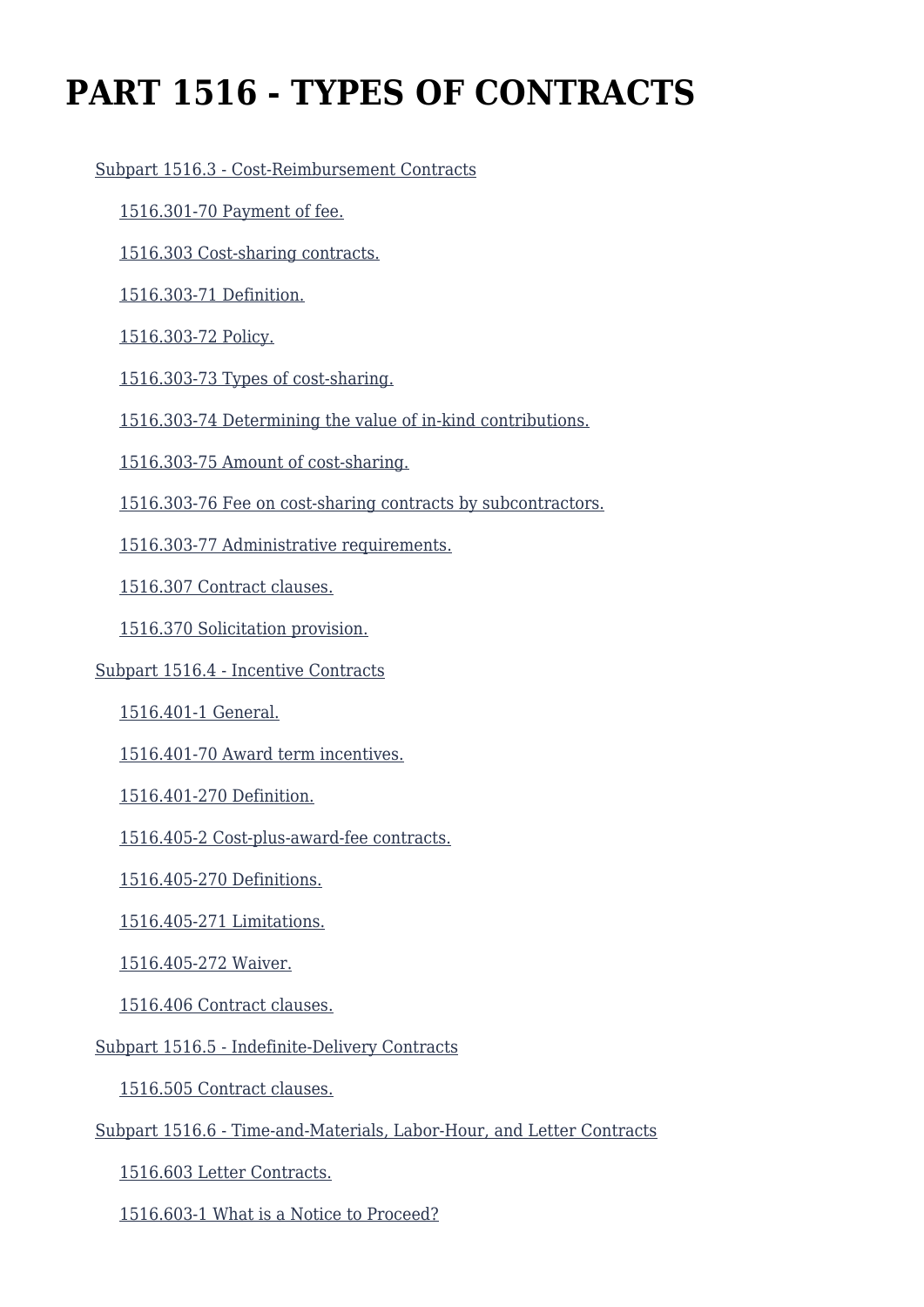# **PART 1516 - TYPES OF CONTRACTS**

#### [Subpart 1516.3 - Cost-Reimbursement Contracts](https://origin-www.acquisition.gov/%5Brp:link:epaar-part-1516%5D#Subpart_1516_3_T48_6013141)

- [1516.301-70 Payment of fee.](https://origin-www.acquisition.gov/%5Brp:link:epaar-part-1516%5D#Section_1516_301_70_T48_601314111)
- [1516.303 Cost-sharing contracts.](https://origin-www.acquisition.gov/%5Brp:link:epaar-part-1516%5D#Section_1516_303_T48_601314112)
- [1516.303-71 Definition.](https://origin-www.acquisition.gov/%5Brp:link:epaar-part-1516%5D#Section_1516_303_71_T48_601314113)
- [1516.303-72 Policy.](https://origin-www.acquisition.gov/%5Brp:link:epaar-part-1516%5D#Section_1516_303_72_T48_601314114)
- [1516.303-73 Types of cost-sharing.](https://origin-www.acquisition.gov/%5Brp:link:epaar-part-1516%5D#Section_1516_303_73_T48_601314115)
- [1516.303-74 Determining the value of in-kind contributions.](https://origin-www.acquisition.gov/%5Brp:link:epaar-part-1516%5D#Section_1516_303_74_T48_601314116)
- [1516.303-75 Amount of cost-sharing.](https://origin-www.acquisition.gov/%5Brp:link:epaar-part-1516%5D#Section_1516_303_75_T48_601314117)
- [1516.303-76 Fee on cost-sharing contracts by subcontractors.](https://origin-www.acquisition.gov/%5Brp:link:epaar-part-1516%5D#Section_1516_303_76_T48_601314118)
- [1516.303-77 Administrative requirements.](https://origin-www.acquisition.gov/%5Brp:link:epaar-part-1516%5D#Section_1516_303_77_T48_601314119)
- [1516.307 Contract clauses.](https://origin-www.acquisition.gov/%5Brp:link:epaar-part-1516%5D#Section_1516_307_T48_6013141110)
- [1516.370 Solicitation provision.](https://origin-www.acquisition.gov/%5Brp:link:epaar-part-1516%5D#Section_1516_370_T48_6013141111)
- [Subpart 1516.4 Incentive Contracts](https://origin-www.acquisition.gov/%5Brp:link:epaar-part-1516%5D#Subpart_1516_4_T48_6013142)
	- [1516.401-1 General.](https://origin-www.acquisition.gov/%5Brp:link:epaar-part-1516%5D#Section_1516_401_1_T48_601314211)
	- [1516.401-70 Award term incentives.](https://origin-www.acquisition.gov/%5Brp:link:epaar-part-1516%5D#Section_1516_401_70_T48_601314212)
	- [1516.401-270 Definition.](https://origin-www.acquisition.gov/%5Brp:link:epaar-part-1516%5D#Section_1516_401_270_T48_601314213)
	- [1516.405-2 Cost-plus-award-fee contracts.](https://origin-www.acquisition.gov/%5Brp:link:epaar-part-1516%5D#Section_1516_405_2_T48_601314214)
	- [1516.405-270 Definitions.](https://origin-www.acquisition.gov/%5Brp:link:epaar-part-1516%5D#Section_1516_405_270_T48_601314215)
	- [1516.405-271 Limitations.](https://origin-www.acquisition.gov/%5Brp:link:epaar-part-1516%5D#Section_1516_405_271_T48_601314216)
	- [1516.405-272 Waiver.](https://origin-www.acquisition.gov/%5Brp:link:epaar-part-1516%5D#Section_1516_405_272_T48_601314217)
	- [1516.406 Contract clauses.](https://origin-www.acquisition.gov/%5Brp:link:epaar-part-1516%5D#Section_1516_406_T48_601314218)
- [Subpart 1516.5 Indefinite-Delivery Contracts](https://origin-www.acquisition.gov/%5Brp:link:epaar-part-1516%5D#Subpart_1516_5_T48_6013143)
	- [1516.505 Contract clauses.](https://origin-www.acquisition.gov/%5Brp:link:epaar-part-1516%5D#Section_1516_505_T48_601314311)
- [Subpart 1516.6 Time-and-Materials, Labor-Hour, and Letter Contracts](https://origin-www.acquisition.gov/%5Brp:link:epaar-part-1516%5D#Subpart_1516_6_T48_6013144)
	- [1516.603 Letter Contracts.](https://origin-www.acquisition.gov/%5Brp:link:epaar-part-1516%5D#Section_1516_603_T48_601314411)
	- [1516.603-1 What is a Notice to Proceed?](https://origin-www.acquisition.gov/%5Brp:link:epaar-part-1516%5D#Section_1516_603_1_T48_601314412)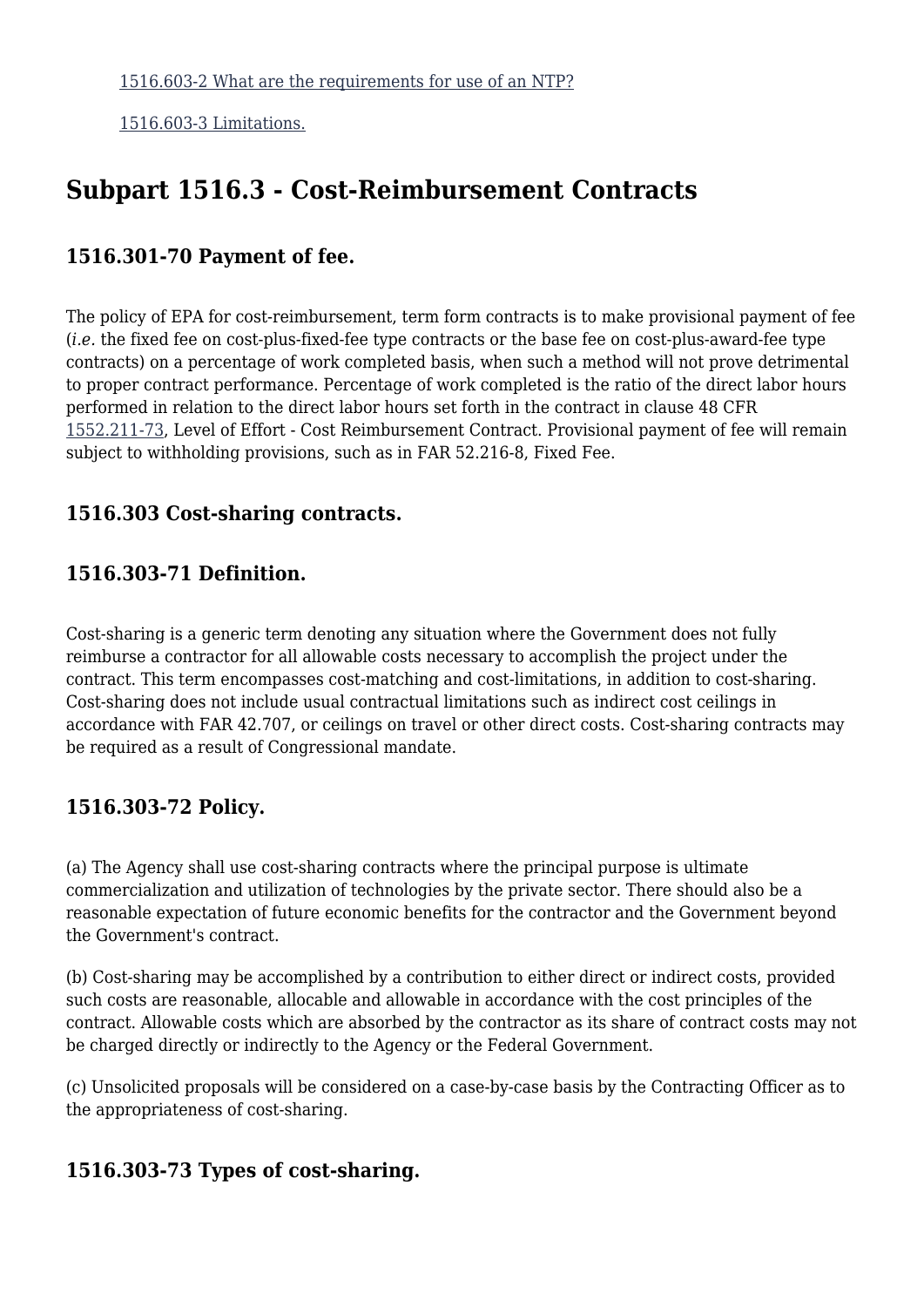[1516.603-3 Limitations.](https://origin-www.acquisition.gov/%5Brp:link:epaar-part-1516%5D#Section_1516_603_3_T48_601314414)

# **Subpart 1516.3 - Cost-Reimbursement Contracts**

#### **1516.301-70 Payment of fee.**

The policy of EPA for cost-reimbursement, term form contracts is to make provisional payment of fee (*i.e.* the fixed fee on cost-plus-fixed-fee type contracts or the base fee on cost-plus-award-fee type contracts) on a percentage of work completed basis, when such a method will not prove detrimental to proper contract performance. Percentage of work completed is the ratio of the direct labor hours performed in relation to the direct labor hours set forth in the contract in clause 48 CFR [1552.211-73,](https://origin-www.acquisition.gov/%5Brp:link:epaar-part-1552%5D#Section_1552_211_73_T48_6018371115) Level of Effort - Cost Reimbursement Contract. Provisional payment of fee will remain subject to withholding provisions, such as in FAR 52.216-8, Fixed Fee.

# **1516.303 Cost-sharing contracts.**

# **1516.303-71 Definition.**

Cost-sharing is a generic term denoting any situation where the Government does not fully reimburse a contractor for all allowable costs necessary to accomplish the project under the contract. This term encompasses cost-matching and cost-limitations, in addition to cost-sharing. Cost-sharing does not include usual contractual limitations such as indirect cost ceilings in accordance with FAR 42.707, or ceilings on travel or other direct costs. Cost-sharing contracts may be required as a result of Congressional mandate.

#### **1516.303-72 Policy.**

(a) The Agency shall use cost-sharing contracts where the principal purpose is ultimate commercialization and utilization of technologies by the private sector. There should also be a reasonable expectation of future economic benefits for the contractor and the Government beyond the Government's contract.

(b) Cost-sharing may be accomplished by a contribution to either direct or indirect costs, provided such costs are reasonable, allocable and allowable in accordance with the cost principles of the contract. Allowable costs which are absorbed by the contractor as its share of contract costs may not be charged directly or indirectly to the Agency or the Federal Government.

(c) Unsolicited proposals will be considered on a case-by-case basis by the Contracting Officer as to the appropriateness of cost-sharing.

#### **1516.303-73 Types of cost-sharing.**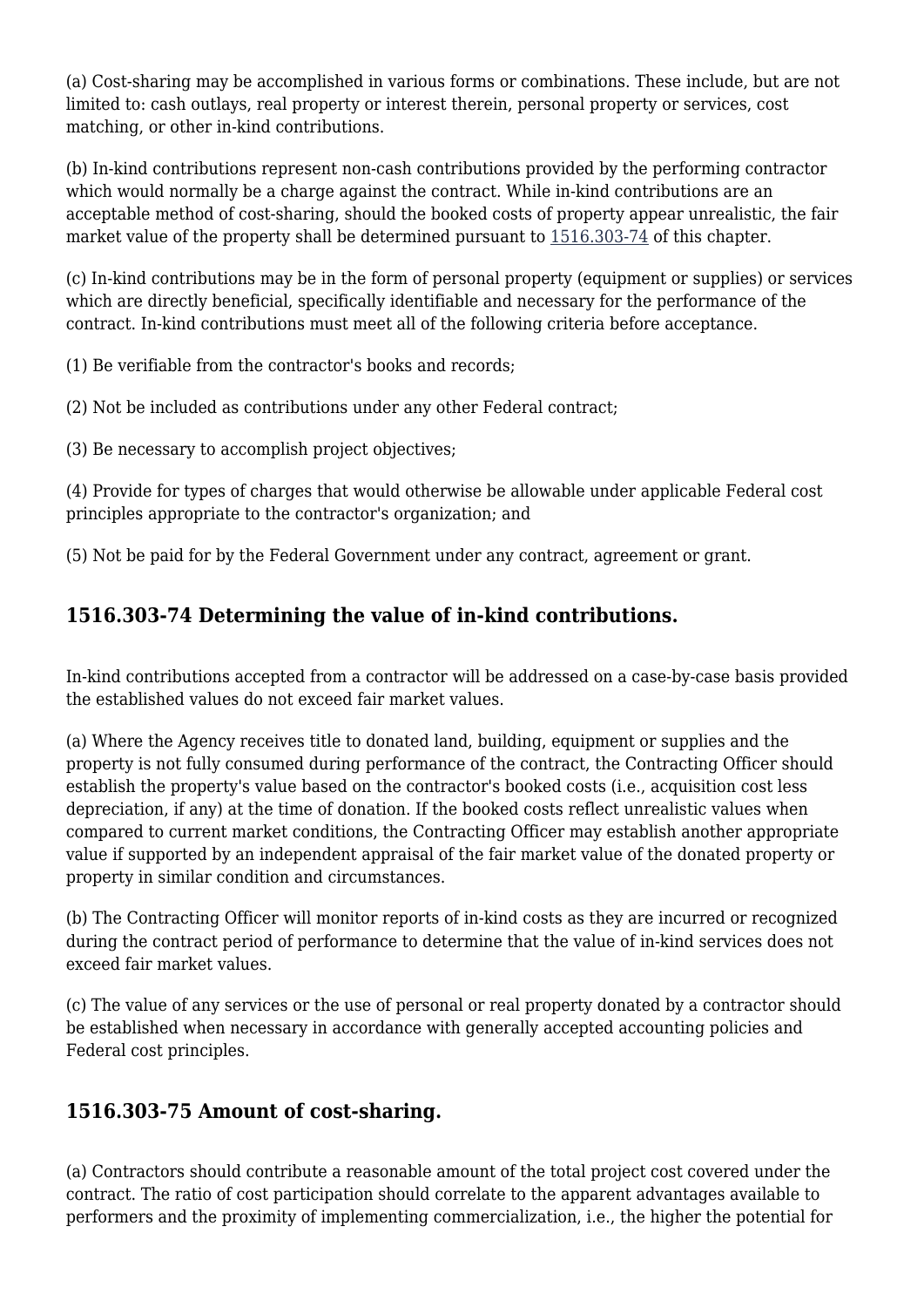(a) Cost-sharing may be accomplished in various forms or combinations. These include, but are not limited to: cash outlays, real property or interest therein, personal property or services, cost matching, or other in-kind contributions.

(b) In-kind contributions represent non-cash contributions provided by the performing contractor which would normally be a charge against the contract. While in-kind contributions are an acceptable method of cost-sharing, should the booked costs of property appear unrealistic, the fair market value of the property shall be determined pursuant to [1516.303-74](https://origin-www.acquisition.gov/%5Brp:link:epaar-part-1516%5D#Section_1516_303_74_T48_601314116) of this chapter.

(c) In-kind contributions may be in the form of personal property (equipment or supplies) or services which are directly beneficial, specifically identifiable and necessary for the performance of the contract. In-kind contributions must meet all of the following criteria before acceptance.

(1) Be verifiable from the contractor's books and records;

(2) Not be included as contributions under any other Federal contract;

(3) Be necessary to accomplish project objectives;

(4) Provide for types of charges that would otherwise be allowable under applicable Federal cost principles appropriate to the contractor's organization; and

(5) Not be paid for by the Federal Government under any contract, agreement or grant.

# **1516.303-74 Determining the value of in-kind contributions.**

In-kind contributions accepted from a contractor will be addressed on a case-by-case basis provided the established values do not exceed fair market values.

(a) Where the Agency receives title to donated land, building, equipment or supplies and the property is not fully consumed during performance of the contract, the Contracting Officer should establish the property's value based on the contractor's booked costs (i.e., acquisition cost less depreciation, if any) at the time of donation. If the booked costs reflect unrealistic values when compared to current market conditions, the Contracting Officer may establish another appropriate value if supported by an independent appraisal of the fair market value of the donated property or property in similar condition and circumstances.

(b) The Contracting Officer will monitor reports of in-kind costs as they are incurred or recognized during the contract period of performance to determine that the value of in-kind services does not exceed fair market values.

(c) The value of any services or the use of personal or real property donated by a contractor should be established when necessary in accordance with generally accepted accounting policies and Federal cost principles.

#### **1516.303-75 Amount of cost-sharing.**

(a) Contractors should contribute a reasonable amount of the total project cost covered under the contract. The ratio of cost participation should correlate to the apparent advantages available to performers and the proximity of implementing commercialization, i.e., the higher the potential for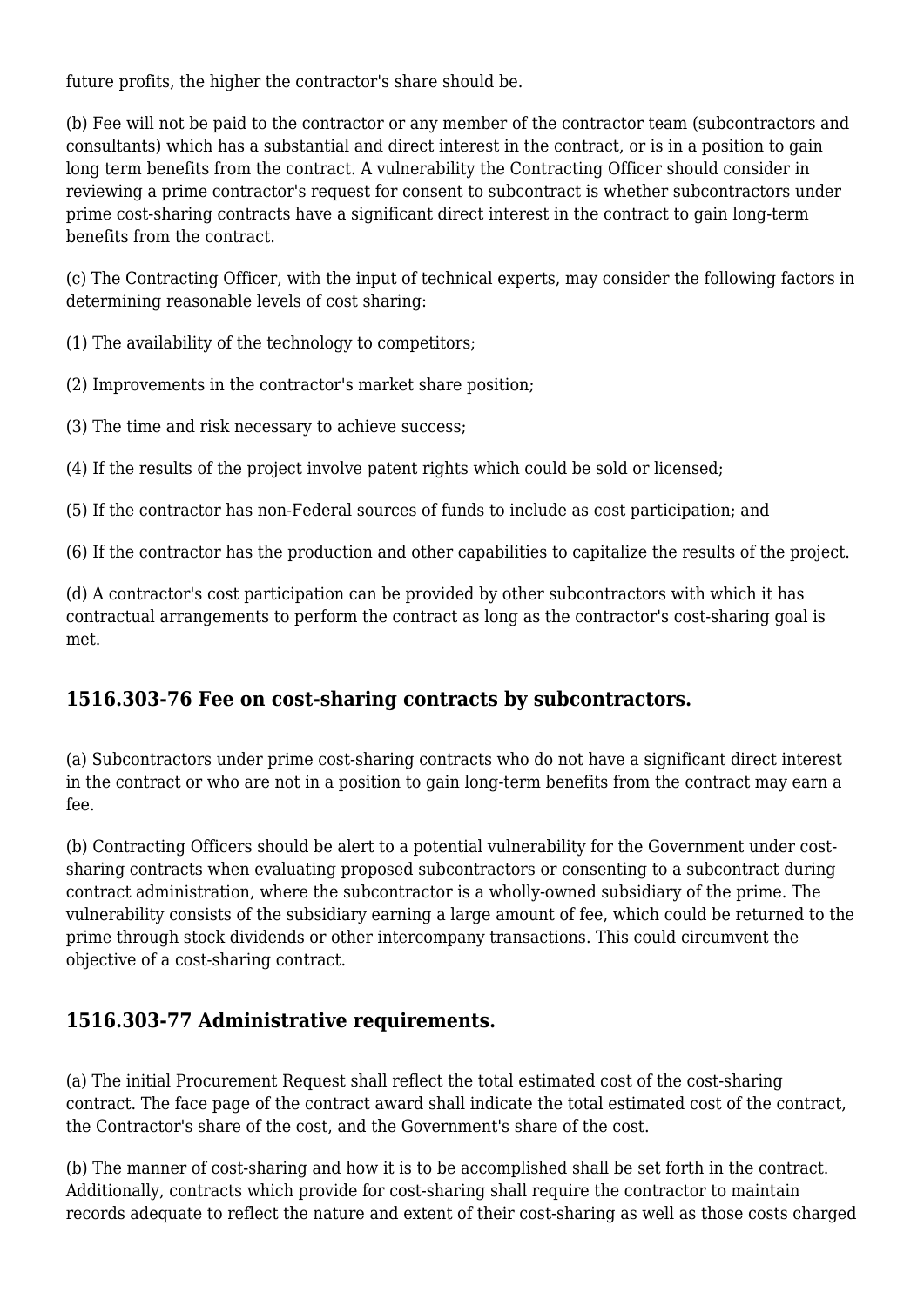future profits, the higher the contractor's share should be.

(b) Fee will not be paid to the contractor or any member of the contractor team (subcontractors and consultants) which has a substantial and direct interest in the contract, or is in a position to gain long term benefits from the contract. A vulnerability the Contracting Officer should consider in reviewing a prime contractor's request for consent to subcontract is whether subcontractors under prime cost-sharing contracts have a significant direct interest in the contract to gain long-term benefits from the contract.

(c) The Contracting Officer, with the input of technical experts, may consider the following factors in determining reasonable levels of cost sharing:

(1) The availability of the technology to competitors;

(2) Improvements in the contractor's market share position;

(3) The time and risk necessary to achieve success;

(4) If the results of the project involve patent rights which could be sold or licensed;

(5) If the contractor has non-Federal sources of funds to include as cost participation; and

(6) If the contractor has the production and other capabilities to capitalize the results of the project.

(d) A contractor's cost participation can be provided by other subcontractors with which it has contractual arrangements to perform the contract as long as the contractor's cost-sharing goal is met.

# **1516.303-76 Fee on cost-sharing contracts by subcontractors.**

(a) Subcontractors under prime cost-sharing contracts who do not have a significant direct interest in the contract or who are not in a position to gain long-term benefits from the contract may earn a fee.

(b) Contracting Officers should be alert to a potential vulnerability for the Government under costsharing contracts when evaluating proposed subcontractors or consenting to a subcontract during contract administration, where the subcontractor is a wholly-owned subsidiary of the prime. The vulnerability consists of the subsidiary earning a large amount of fee, which could be returned to the prime through stock dividends or other intercompany transactions. This could circumvent the objective of a cost-sharing contract.

# **1516.303-77 Administrative requirements.**

(a) The initial Procurement Request shall reflect the total estimated cost of the cost-sharing contract. The face page of the contract award shall indicate the total estimated cost of the contract, the Contractor's share of the cost, and the Government's share of the cost.

(b) The manner of cost-sharing and how it is to be accomplished shall be set forth in the contract. Additionally, contracts which provide for cost-sharing shall require the contractor to maintain records adequate to reflect the nature and extent of their cost-sharing as well as those costs charged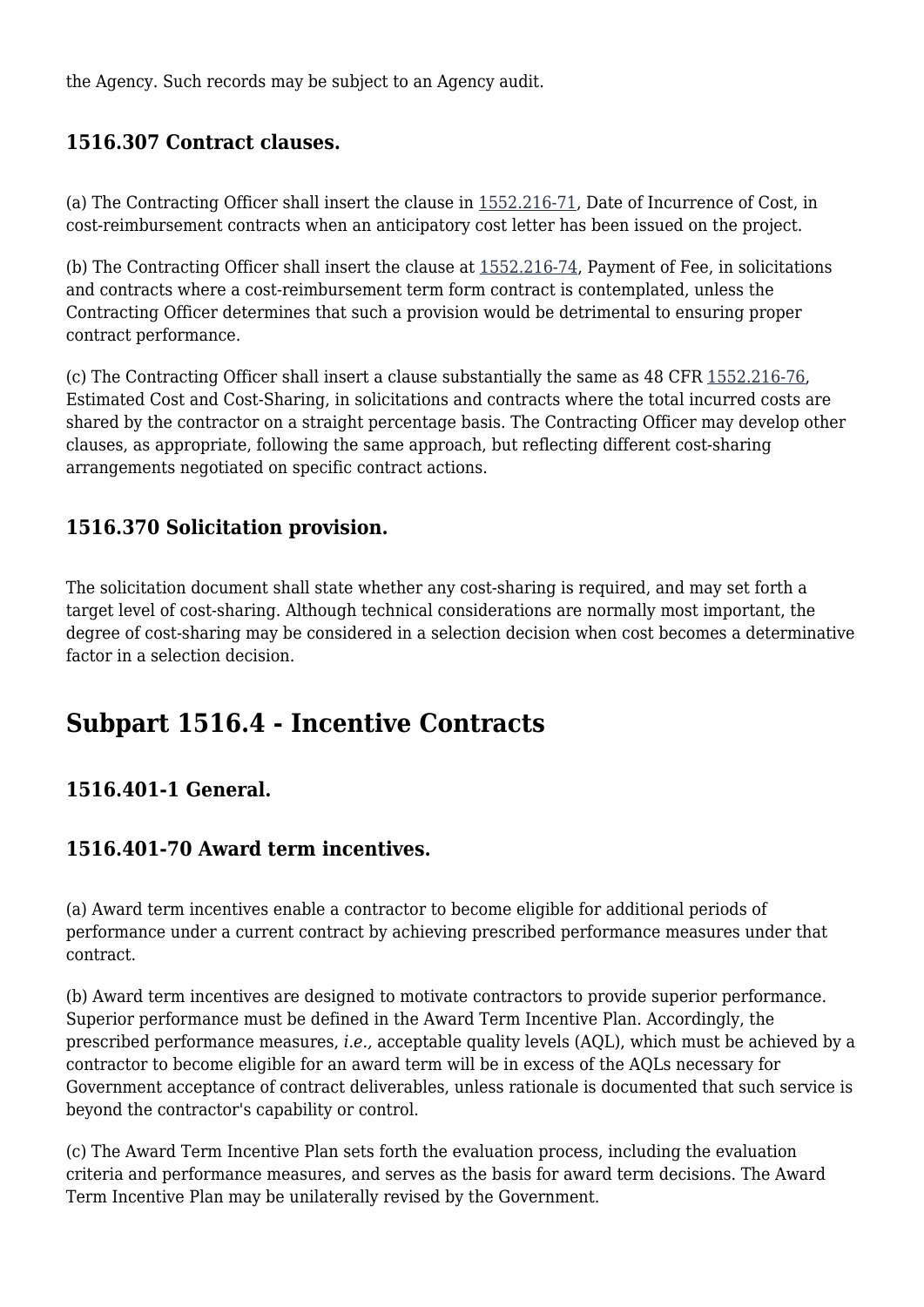the Agency. Such records may be subject to an Agency audit.

# **1516.307 Contract clauses.**

(a) The Contracting Officer shall insert the clause in [1552.216-71,](https://origin-www.acquisition.gov/%5Brp:link:epaar-part-1552%5D#Section_1552_216_71_T48_6018371131) Date of Incurrence of Cost, in cost-reimbursement contracts when an anticipatory cost letter has been issued on the project.

(b) The Contracting Officer shall insert the clause at [1552.216-74](https://origin-www.acquisition.gov/%5Brp:link:epaar-part-1552%5D#Section_1552_216_74_T48_6018371134), Payment of Fee, in solicitations and contracts where a cost-reimbursement term form contract is contemplated, unless the Contracting Officer determines that such a provision would be detrimental to ensuring proper contract performance.

(c) The Contracting Officer shall insert a clause substantially the same as 48 CFR [1552.216-76,](https://origin-www.acquisition.gov/%5Brp:link:epaar-part-1552%5D#Section_1552_216_76_T48_6018371136) Estimated Cost and Cost-Sharing, in solicitations and contracts where the total incurred costs are shared by the contractor on a straight percentage basis. The Contracting Officer may develop other clauses, as appropriate, following the same approach, but reflecting different cost-sharing arrangements negotiated on specific contract actions.

# **1516.370 Solicitation provision.**

The solicitation document shall state whether any cost-sharing is required, and may set forth a target level of cost-sharing. Although technical considerations are normally most important, the degree of cost-sharing may be considered in a selection decision when cost becomes a determinative factor in a selection decision.

# **Subpart 1516.4 - Incentive Contracts**

# **1516.401-1 General.**

#### **1516.401-70 Award term incentives.**

(a) Award term incentives enable a contractor to become eligible for additional periods of performance under a current contract by achieving prescribed performance measures under that contract.

(b) Award term incentives are designed to motivate contractors to provide superior performance. Superior performance must be defined in the Award Term Incentive Plan. Accordingly, the prescribed performance measures, *i.e.,* acceptable quality levels (AQL), which must be achieved by a contractor to become eligible for an award term will be in excess of the AQLs necessary for Government acceptance of contract deliverables, unless rationale is documented that such service is beyond the contractor's capability or control.

(c) The Award Term Incentive Plan sets forth the evaluation process, including the evaluation criteria and performance measures, and serves as the basis for award term decisions. The Award Term Incentive Plan may be unilaterally revised by the Government.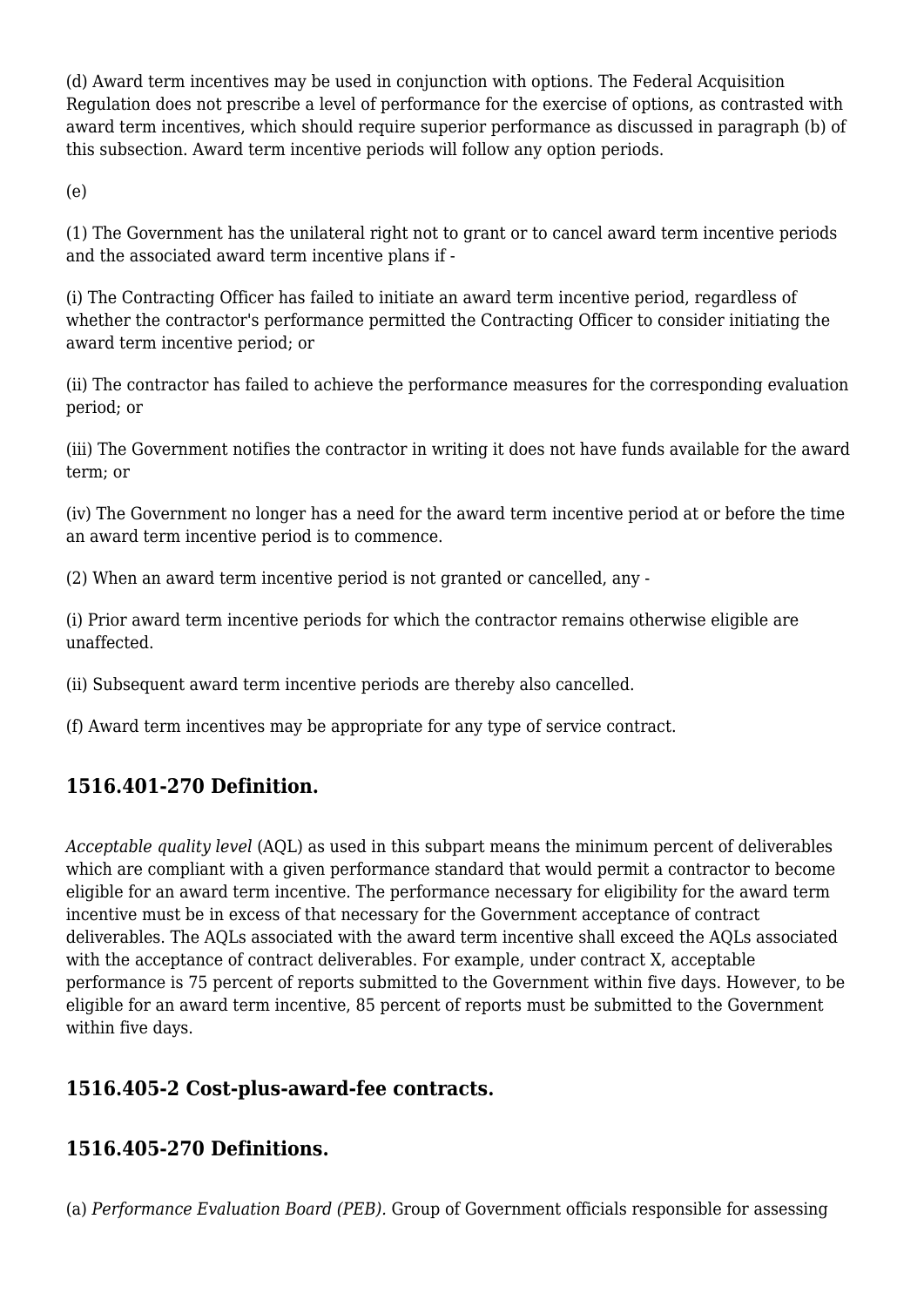(d) Award term incentives may be used in conjunction with options. The Federal Acquisition Regulation does not prescribe a level of performance for the exercise of options, as contrasted with award term incentives, which should require superior performance as discussed in paragraph (b) of this subsection. Award term incentive periods will follow any option periods.

(e)

(1) The Government has the unilateral right not to grant or to cancel award term incentive periods and the associated award term incentive plans if -

(i) The Contracting Officer has failed to initiate an award term incentive period, regardless of whether the contractor's performance permitted the Contracting Officer to consider initiating the award term incentive period; or

(ii) The contractor has failed to achieve the performance measures for the corresponding evaluation period; or

(iii) The Government notifies the contractor in writing it does not have funds available for the award term; or

(iv) The Government no longer has a need for the award term incentive period at or before the time an award term incentive period is to commence.

(2) When an award term incentive period is not granted or cancelled, any -

(i) Prior award term incentive periods for which the contractor remains otherwise eligible are unaffected.

(ii) Subsequent award term incentive periods are thereby also cancelled.

(f) Award term incentives may be appropriate for any type of service contract.

# **1516.401-270 Definition.**

*Acceptable quality level* (AQL) as used in this subpart means the minimum percent of deliverables which are compliant with a given performance standard that would permit a contractor to become eligible for an award term incentive. The performance necessary for eligibility for the award term incentive must be in excess of that necessary for the Government acceptance of contract deliverables. The AQLs associated with the award term incentive shall exceed the AQLs associated with the acceptance of contract deliverables. For example, under contract X, acceptable performance is 75 percent of reports submitted to the Government within five days. However, to be eligible for an award term incentive, 85 percent of reports must be submitted to the Government within five days.

# **1516.405-2 Cost-plus-award-fee contracts.**

#### **1516.405-270 Definitions.**

(a) *Performance Evaluation Board (PEB).* Group of Government officials responsible for assessing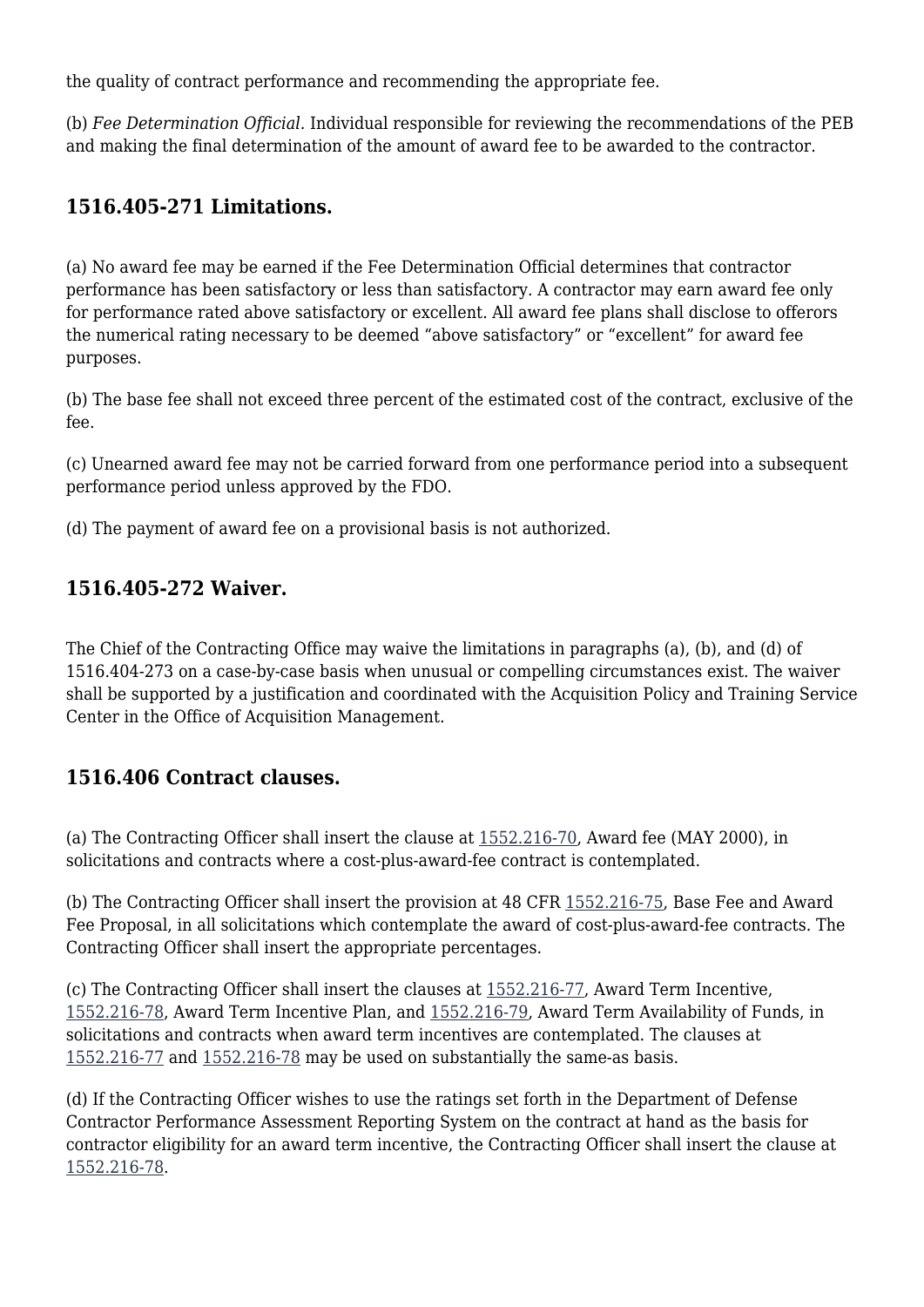the quality of contract performance and recommending the appropriate fee.

(b) *Fee Determination Official.* Individual responsible for reviewing the recommendations of the PEB and making the final determination of the amount of award fee to be awarded to the contractor.

# **1516.405-271 Limitations.**

(a) No award fee may be earned if the Fee Determination Official determines that contractor performance has been satisfactory or less than satisfactory. A contractor may earn award fee only for performance rated above satisfactory or excellent. All award fee plans shall disclose to offerors the numerical rating necessary to be deemed "above satisfactory" or "excellent" for award fee purposes.

(b) The base fee shall not exceed three percent of the estimated cost of the contract, exclusive of the fee.

(c) Unearned award fee may not be carried forward from one performance period into a subsequent performance period unless approved by the FDO.

(d) The payment of award fee on a provisional basis is not authorized.

# **1516.405-272 Waiver.**

The Chief of the Contracting Office may waive the limitations in paragraphs (a), (b), and (d) of 1516.404-273 on a case-by-case basis when unusual or compelling circumstances exist. The waiver shall be supported by a justification and coordinated with the Acquisition Policy and Training Service Center in the Office of Acquisition Management.

#### **1516.406 Contract clauses.**

(a) The Contracting Officer shall insert the clause at [1552.216-70,](https://origin-www.acquisition.gov/%5Brp:link:epaar-part-1552%5D#Section_1552_216_70_T48_6018371130) Award fee (MAY 2000), in solicitations and contracts where a cost-plus-award-fee contract is contemplated.

(b) The Contracting Officer shall insert the provision at 48 CFR [1552.216-75,](https://origin-www.acquisition.gov/%5Brp:link:epaar-part-1552%5D#Section_1552_216_75_T48_6018371135) Base Fee and Award Fee Proposal, in all solicitations which contemplate the award of cost-plus-award-fee contracts. The Contracting Officer shall insert the appropriate percentages.

(c) The Contracting Officer shall insert the clauses at [1552.216-77,](https://origin-www.acquisition.gov/%5Brp:link:epaar-part-1552%5D#Section_1552_216_77_T48_6018371137) Award Term Incentive, [1552.216-78,](https://origin-www.acquisition.gov/%5Brp:link:epaar-part-1552%5D#Section_1552_216_78_T48_6018371138) Award Term Incentive Plan, and [1552.216-79](https://origin-www.acquisition.gov/%5Brp:link:epaar-part-1552%5D#Section_1552_216_79_T48_6018371139), Award Term Availability of Funds, in solicitations and contracts when award term incentives are contemplated. The clauses at [1552.216-77](https://origin-www.acquisition.gov/%5Brp:link:epaar-part-1552%5D#Section_1552_216_77_T48_6018371137) and [1552.216-78](https://origin-www.acquisition.gov/%5Brp:link:epaar-part-1552%5D#Section_1552_216_78_T48_6018371138) may be used on substantially the same-as basis.

(d) If the Contracting Officer wishes to use the ratings set forth in the Department of Defense Contractor Performance Assessment Reporting System on the contract at hand as the basis for contractor eligibility for an award term incentive, the Contracting Officer shall insert the clause at [1552.216-78.](https://origin-www.acquisition.gov/%5Brp:link:epaar-part-1552%5D#Section_1552_216_78_T48_6018371138)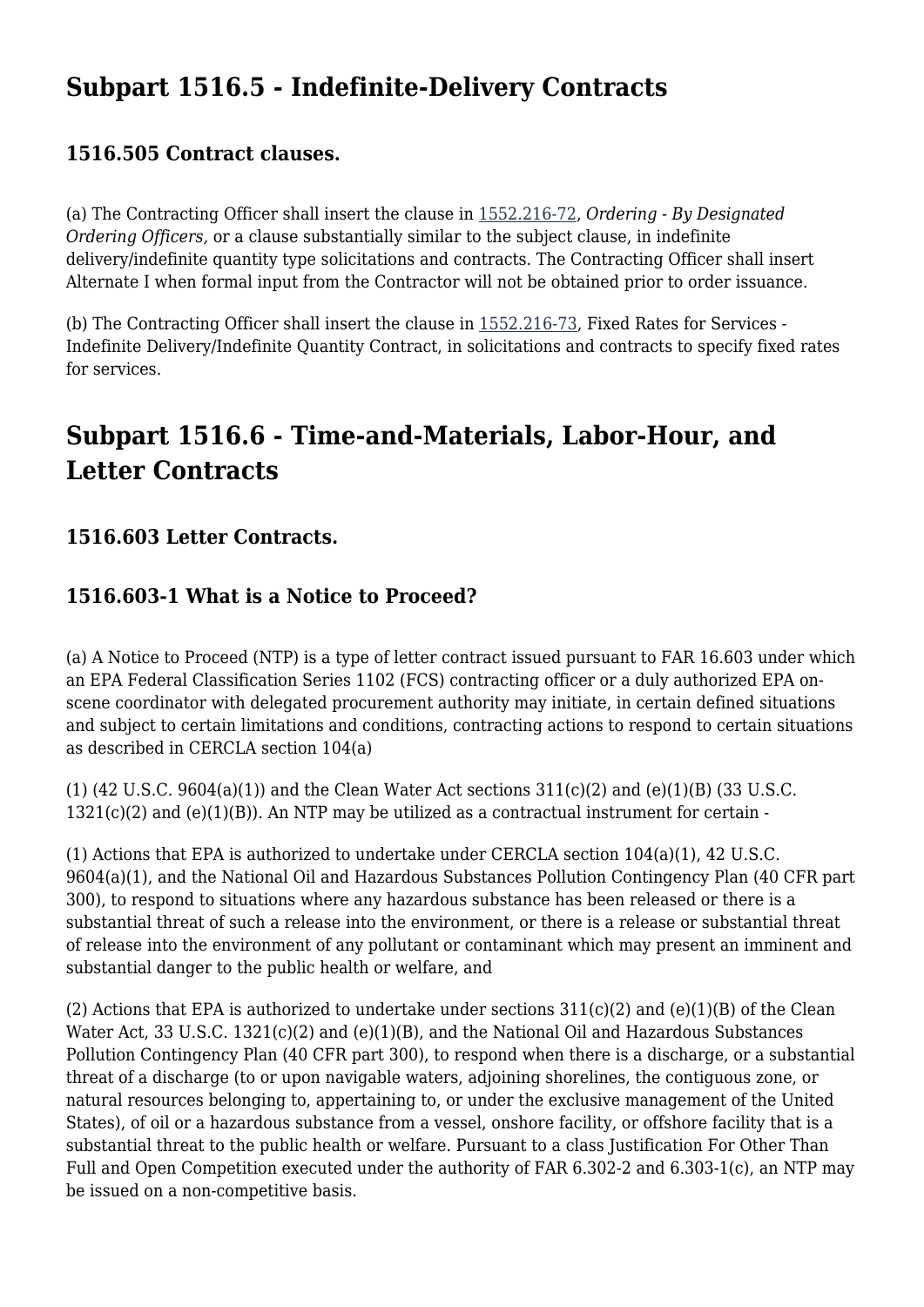# **Subpart 1516.5 - Indefinite-Delivery Contracts**

#### **1516.505 Contract clauses.**

(a) The Contracting Officer shall insert the clause in [1552.216-72,](https://origin-www.acquisition.gov/%5Brp:link:epaar-part-1552%5D#Section_1552_216_72_T48_6018371132) *Ordering - By Designated Ordering Officers,* or a clause substantially similar to the subject clause, in indefinite delivery/indefinite quantity type solicitations and contracts. The Contracting Officer shall insert Alternate I when formal input from the Contractor will not be obtained prior to order issuance.

(b) The Contracting Officer shall insert the clause in [1552.216-73](https://origin-www.acquisition.gov/%5Brp:link:epaar-part-1552%5D#Section_1552_216_73_T48_6018371133), Fixed Rates for Services - Indefinite Delivery/Indefinite Quantity Contract, in solicitations and contracts to specify fixed rates for services.

# **Subpart 1516.6 - Time-and-Materials, Labor-Hour, and Letter Contracts**

#### **1516.603 Letter Contracts.**

# **1516.603-1 What is a Notice to Proceed?**

(a) A Notice to Proceed (NTP) is a type of letter contract issued pursuant to FAR 16.603 under which an EPA Federal Classification Series 1102 (FCS) contracting officer or a duly authorized EPA onscene coordinator with delegated procurement authority may initiate, in certain defined situations and subject to certain limitations and conditions, contracting actions to respond to certain situations as described in CERCLA section 104(a)

(1) (42 U.S.C. 9604(a)(1)) and the Clean Water Act sections  $311(c)(2)$  and (e)(1)(B) (33 U.S.C.  $1321(c)(2)$  and  $(e)(1)(B)$ ). An NTP may be utilized as a contractual instrument for certain -

(1) Actions that EPA is authorized to undertake under CERCLA section 104(a)(1), 42 U.S.C. 9604(a)(1), and the National Oil and Hazardous Substances Pollution Contingency Plan (40 CFR part 300), to respond to situations where any hazardous substance has been released or there is a substantial threat of such a release into the environment, or there is a release or substantial threat of release into the environment of any pollutant or contaminant which may present an imminent and substantial danger to the public health or welfare, and

(2) Actions that EPA is authorized to undertake under sections  $311(c)(2)$  and  $(e)(1)(B)$  of the Clean Water Act, 33 U.S.C. 1321(c)(2) and (e)(1)(B), and the National Oil and Hazardous Substances Pollution Contingency Plan (40 CFR part 300), to respond when there is a discharge, or a substantial threat of a discharge (to or upon navigable waters, adjoining shorelines, the contiguous zone, or natural resources belonging to, appertaining to, or under the exclusive management of the United States), of oil or a hazardous substance from a vessel, onshore facility, or offshore facility that is a substantial threat to the public health or welfare. Pursuant to a class Justification For Other Than Full and Open Competition executed under the authority of FAR 6.302-2 and 6.303-1(c), an NTP may be issued on a non-competitive basis.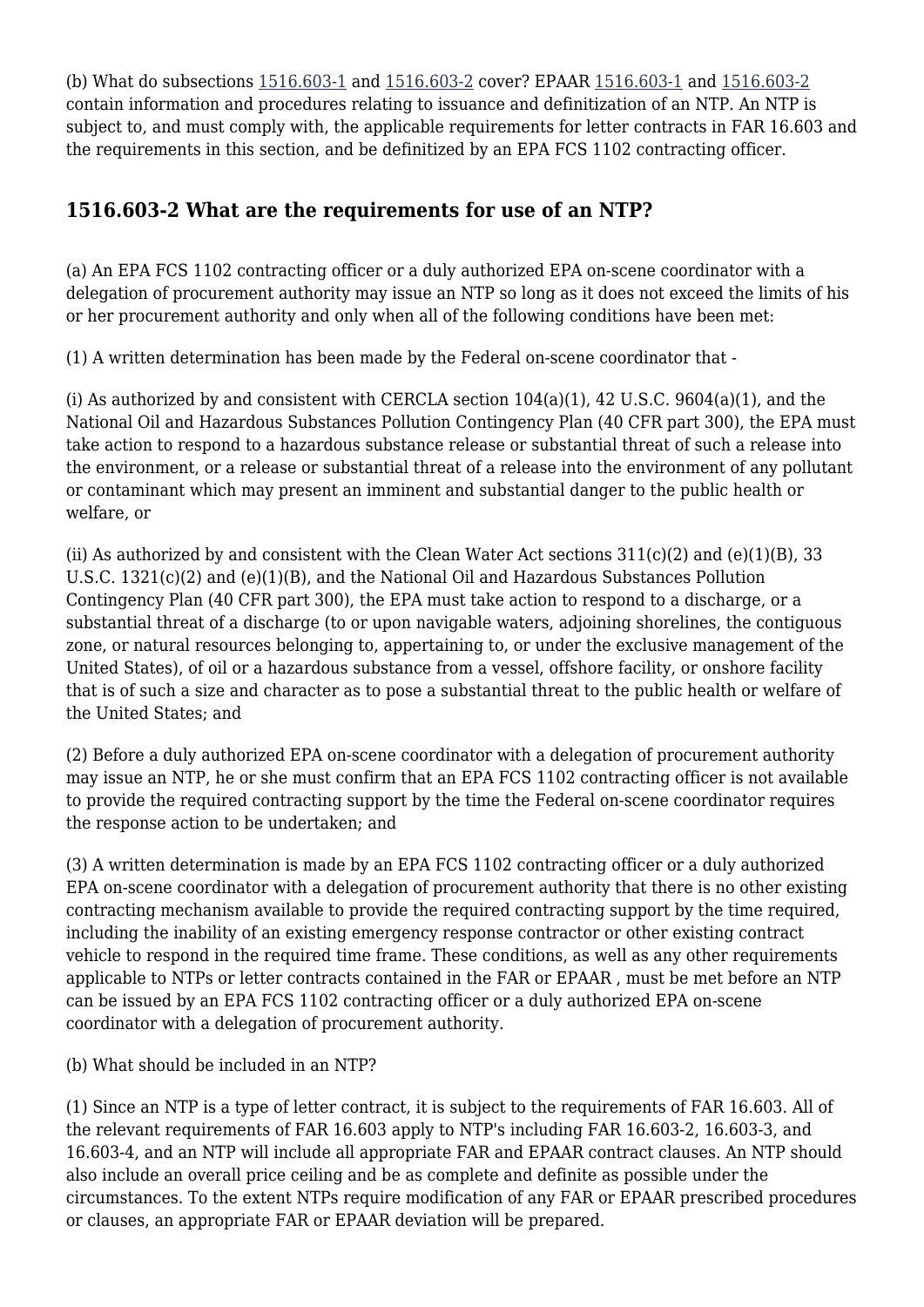(b) What do subsections [1516.603-1](https://origin-www.acquisition.gov/%5Brp:link:epaar-part-1516%5D#Section_1516_603_1_T48_601314412) and [1516.603-2](https://origin-www.acquisition.gov/%5Brp:link:epaar-part-1516%5D#Section_1516_603_2_T48_601314413) cover? EPAAR [1516.603-1](https://origin-www.acquisition.gov/%5Brp:link:epaar-part-1516%5D#Section_1516_603_1_T48_601314412) and [1516.603-2](https://origin-www.acquisition.gov/%5Brp:link:epaar-part-1516%5D#Section_1516_603_2_T48_601314413) contain information and procedures relating to issuance and definitization of an NTP. An NTP is subject to, and must comply with, the applicable requirements for letter contracts in FAR 16.603 and the requirements in this section, and be definitized by an EPA FCS 1102 contracting officer.

# **1516.603-2 What are the requirements for use of an NTP?**

(a) An EPA FCS 1102 contracting officer or a duly authorized EPA on-scene coordinator with a delegation of procurement authority may issue an NTP so long as it does not exceed the limits of his or her procurement authority and only when all of the following conditions have been met:

(1) A written determination has been made by the Federal on-scene coordinator that -

(i) As authorized by and consistent with CERCLA section 104(a)(1), 42 U.S.C. 9604(a)(1), and the National Oil and Hazardous Substances Pollution Contingency Plan (40 CFR part 300), the EPA must take action to respond to a hazardous substance release or substantial threat of such a release into the environment, or a release or substantial threat of a release into the environment of any pollutant or contaminant which may present an imminent and substantial danger to the public health or welfare, or

(ii) As authorized by and consistent with the Clean Water Act sections  $311(c)(2)$  and  $(e)(1)(B)$ , 33 U.S.C.  $1321(c)(2)$  and  $(e)(1)(B)$ , and the National Oil and Hazardous Substances Pollution Contingency Plan (40 CFR part 300), the EPA must take action to respond to a discharge, or a substantial threat of a discharge (to or upon navigable waters, adjoining shorelines, the contiguous zone, or natural resources belonging to, appertaining to, or under the exclusive management of the United States), of oil or a hazardous substance from a vessel, offshore facility, or onshore facility that is of such a size and character as to pose a substantial threat to the public health or welfare of the United States; and

(2) Before a duly authorized EPA on-scene coordinator with a delegation of procurement authority may issue an NTP, he or she must confirm that an EPA FCS 1102 contracting officer is not available to provide the required contracting support by the time the Federal on-scene coordinator requires the response action to be undertaken; and

(3) A written determination is made by an EPA FCS 1102 contracting officer or a duly authorized EPA on-scene coordinator with a delegation of procurement authority that there is no other existing contracting mechanism available to provide the required contracting support by the time required, including the inability of an existing emergency response contractor or other existing contract vehicle to respond in the required time frame. These conditions, as well as any other requirements applicable to NTPs or letter contracts contained in the FAR or EPAAR , must be met before an NTP can be issued by an EPA FCS 1102 contracting officer or a duly authorized EPA on-scene coordinator with a delegation of procurement authority.

(b) What should be included in an NTP?

(1) Since an NTP is a type of letter contract, it is subject to the requirements of FAR 16.603. All of the relevant requirements of FAR 16.603 apply to NTP's including FAR 16.603-2, 16.603-3, and 16.603-4, and an NTP will include all appropriate FAR and EPAAR contract clauses. An NTP should also include an overall price ceiling and be as complete and definite as possible under the circumstances. To the extent NTPs require modification of any FAR or EPAAR prescribed procedures or clauses, an appropriate FAR or EPAAR deviation will be prepared.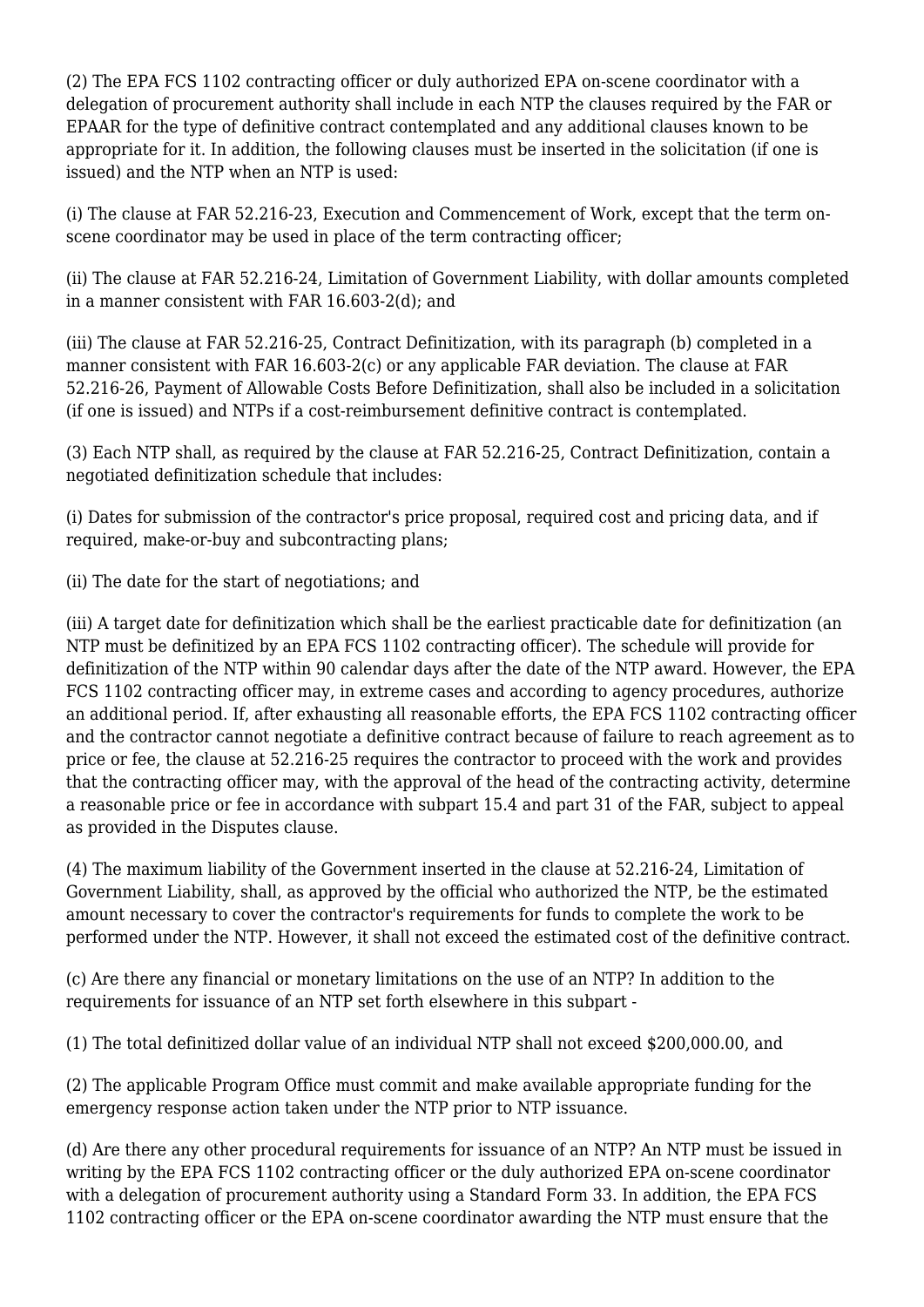(2) The EPA FCS 1102 contracting officer or duly authorized EPA on-scene coordinator with a delegation of procurement authority shall include in each NTP the clauses required by the FAR or EPAAR for the type of definitive contract contemplated and any additional clauses known to be appropriate for it. In addition, the following clauses must be inserted in the solicitation (if one is issued) and the NTP when an NTP is used:

(i) The clause at FAR 52.216-23, Execution and Commencement of Work, except that the term onscene coordinator may be used in place of the term contracting officer;

(ii) The clause at FAR 52.216-24, Limitation of Government Liability, with dollar amounts completed in a manner consistent with FAR 16.603-2(d); and

(iii) The clause at FAR 52.216-25, Contract Definitization, with its paragraph (b) completed in a manner consistent with FAR 16.603-2(c) or any applicable FAR deviation. The clause at FAR 52.216-26, Payment of Allowable Costs Before Definitization, shall also be included in a solicitation (if one is issued) and NTPs if a cost-reimbursement definitive contract is contemplated.

(3) Each NTP shall, as required by the clause at FAR 52.216-25, Contract Definitization, contain a negotiated definitization schedule that includes:

(i) Dates for submission of the contractor's price proposal, required cost and pricing data, and if required, make-or-buy and subcontracting plans;

(ii) The date for the start of negotiations; and

(iii) A target date for definitization which shall be the earliest practicable date for definitization (an NTP must be definitized by an EPA FCS 1102 contracting officer). The schedule will provide for definitization of the NTP within 90 calendar days after the date of the NTP award. However, the EPA FCS 1102 contracting officer may, in extreme cases and according to agency procedures, authorize an additional period. If, after exhausting all reasonable efforts, the EPA FCS 1102 contracting officer and the contractor cannot negotiate a definitive contract because of failure to reach agreement as to price or fee, the clause at 52.216-25 requires the contractor to proceed with the work and provides that the contracting officer may, with the approval of the head of the contracting activity, determine a reasonable price or fee in accordance with subpart 15.4 and part 31 of the FAR, subject to appeal as provided in the Disputes clause.

(4) The maximum liability of the Government inserted in the clause at 52.216-24, Limitation of Government Liability, shall, as approved by the official who authorized the NTP, be the estimated amount necessary to cover the contractor's requirements for funds to complete the work to be performed under the NTP. However, it shall not exceed the estimated cost of the definitive contract.

(c) Are there any financial or monetary limitations on the use of an NTP? In addition to the requirements for issuance of an NTP set forth elsewhere in this subpart -

(1) The total definitized dollar value of an individual NTP shall not exceed \$200,000.00, and

(2) The applicable Program Office must commit and make available appropriate funding for the emergency response action taken under the NTP prior to NTP issuance.

(d) Are there any other procedural requirements for issuance of an NTP? An NTP must be issued in writing by the EPA FCS 1102 contracting officer or the duly authorized EPA on-scene coordinator with a delegation of procurement authority using a Standard Form 33. In addition, the EPA FCS 1102 contracting officer or the EPA on-scene coordinator awarding the NTP must ensure that the